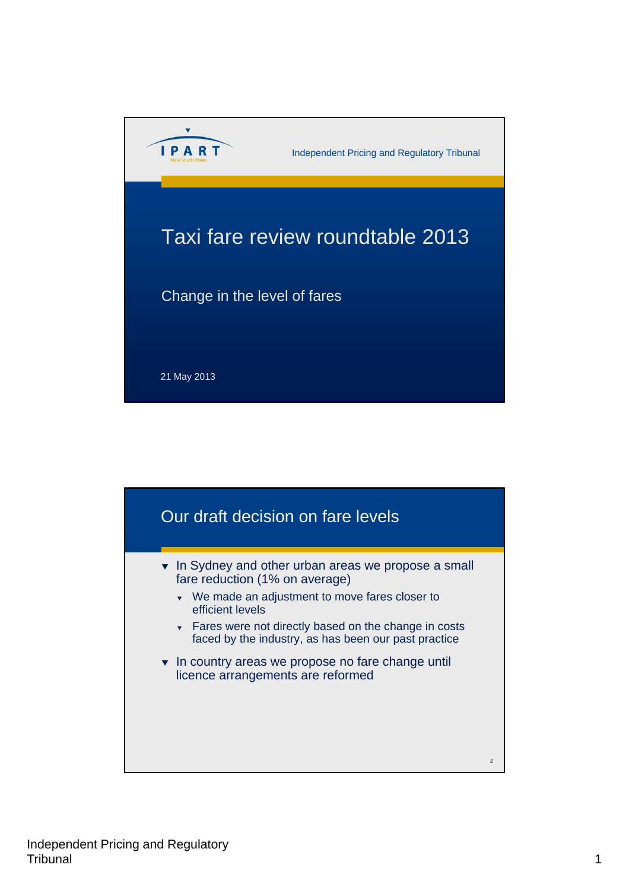

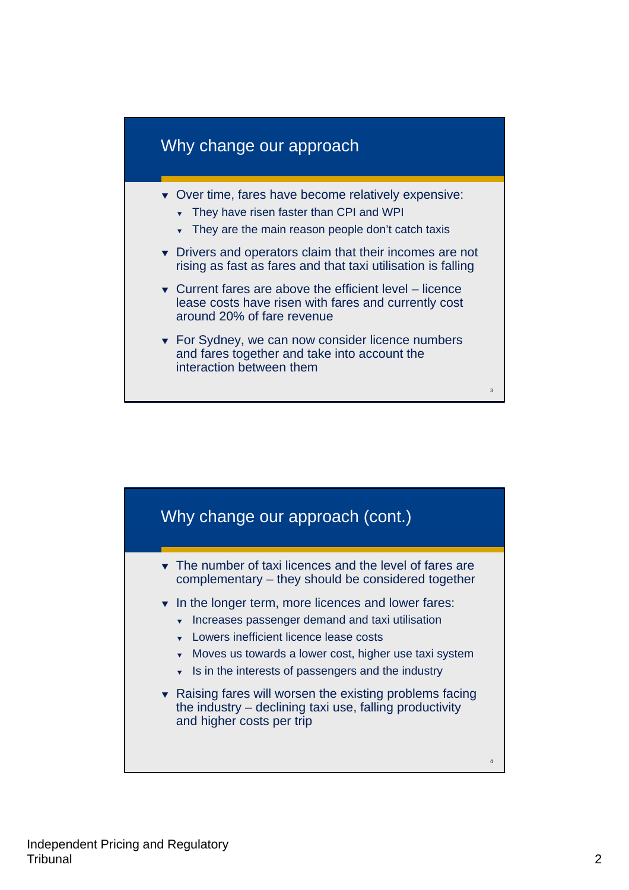

- **v** Over time, fares have become relatively expensive:
	- $\overline{\phantom{a}}$  They have risen faster than CPI and WPI
	- They are the main reason people don't catch taxis
- **v** Drivers and operators claim that their incomes are not rising as fast as fares and that taxi utilisation is falling
- $\bullet$  Current fares are above the efficient level licence lease costs have risen with fares and currently cost around 20% of fare revenue
- ▼ For Sydney, we can now consider licence numbers and fares together and take into account the interaction between them

3

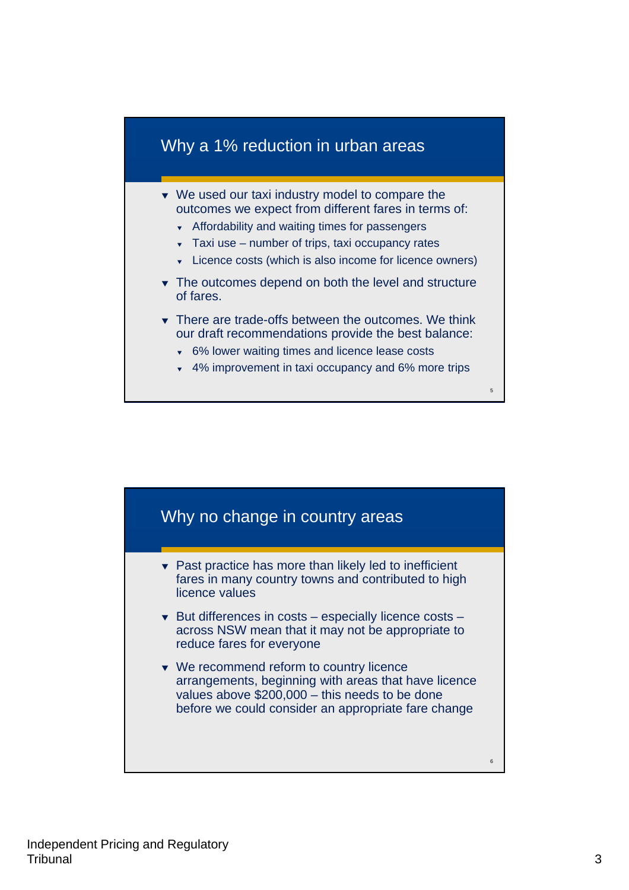# Why a 1% reduction in urban areas

- ▼ We used our taxi industry model to compare the outcomes we expect from different fares in terms of:
	- **K** Affordability and waiting times for passengers
	- $\overline{\phantom{a}}$  Taxi use number of trips, taxi occupancy rates
	- **v** Licence costs (which is also income for licence owners)
- The outcomes depend on both the level and structure of fares.
- There are trade-offs between the outcomes. We think our draft recommendations provide the best balance:
	- 6% lower waiting times and licence lease costs
	- 4% improvement in taxi occupancy and 6% more trips

5

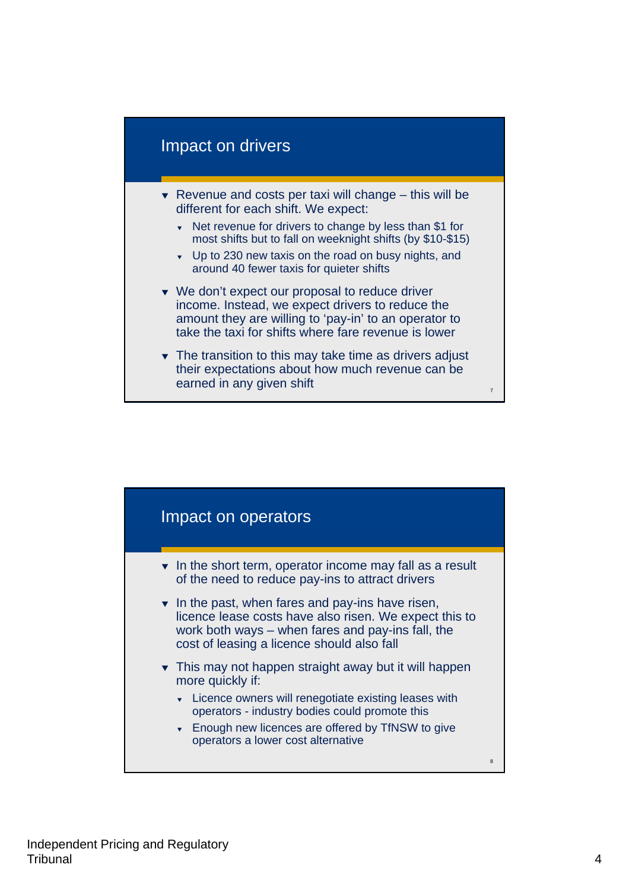#### Impact on drivers

- $\blacktriangleright$  Revenue and costs per taxi will change this will be different for each shift. We expect:
	- Net revenue for drivers to change by less than \$1 for most shifts but to fall on weeknight shifts (by \$10-\$15)
	- Up to 230 new taxis on the road on busy nights, and around 40 fewer taxis for quieter shifts
- ▼ We don't expect our proposal to reduce driver income. Instead, we expect drivers to reduce the amount they are willing to 'pay-in' to an operator to take the taxi for shifts where fare revenue is lower
- $\overline{\phantom{a}}$  The transition to this may take time as drivers adjust their expectations about how much revenue can be earned in any given shift

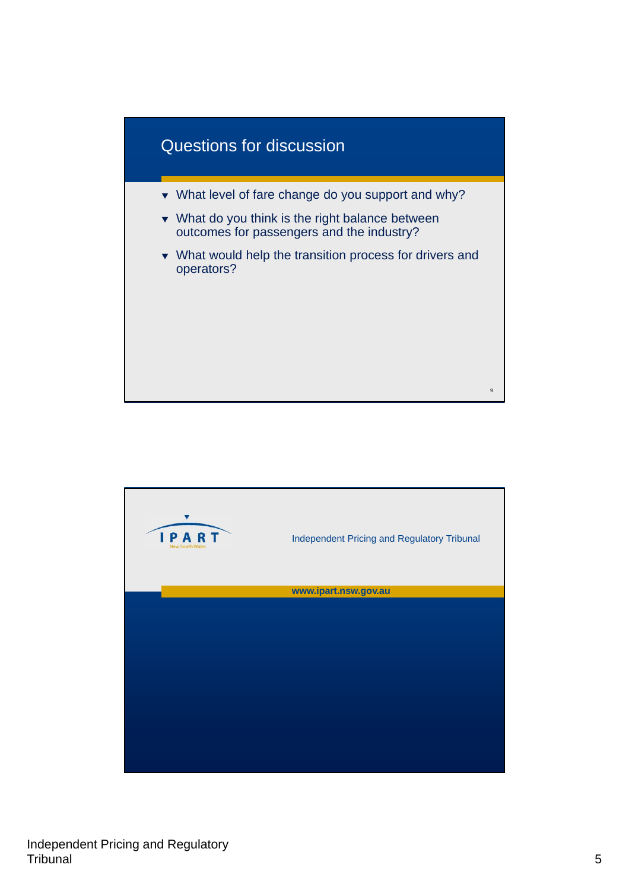

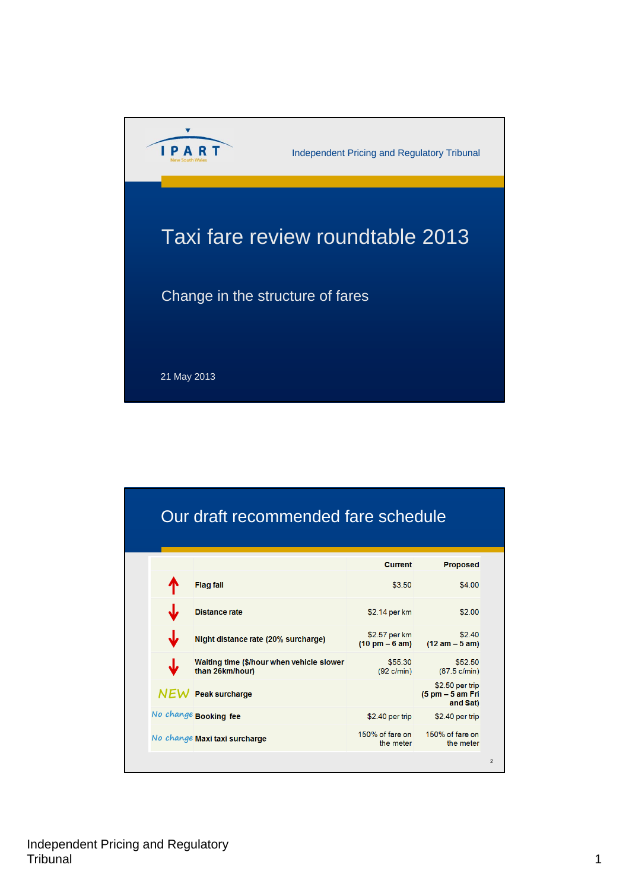

| Our draft recommended fare schedule |                                                              |                                                   |                                                 |
|-------------------------------------|--------------------------------------------------------------|---------------------------------------------------|-------------------------------------------------|
|                                     |                                                              | <b>Current</b>                                    | <b>Proposed</b>                                 |
|                                     | <b>Flag fall</b>                                             | \$3.50                                            | \$4.00                                          |
|                                     | <b>Distance rate</b>                                         | \$2.14 per km                                     | \$2.00                                          |
|                                     | Night distance rate (20% surcharge)                          | \$2.57 per km<br>$(10 \text{ pm} - 6 \text{ am})$ | \$2.40<br>$(12 am - 5 am)$                      |
|                                     | Waiting time (\$/hour when vehicle slower<br>than 26km/hour) | \$55.30<br>$(92 \text{ c/min})$                   | \$52.50<br>$(87.5 \text{ c/min})$               |
|                                     | $NEW$ Peak surcharge                                         |                                                   | \$2.50 per trip<br>(5 pm - 5 am Fri<br>and Sat) |
|                                     | No change Booking fee                                        | \$2.40 per trip                                   | \$2.40 per trip                                 |
|                                     | No change Maxi taxi surcharge                                | 150% of fare on<br>the meter                      | 150% of fare on<br>the meter                    |
|                                     |                                                              |                                                   |                                                 |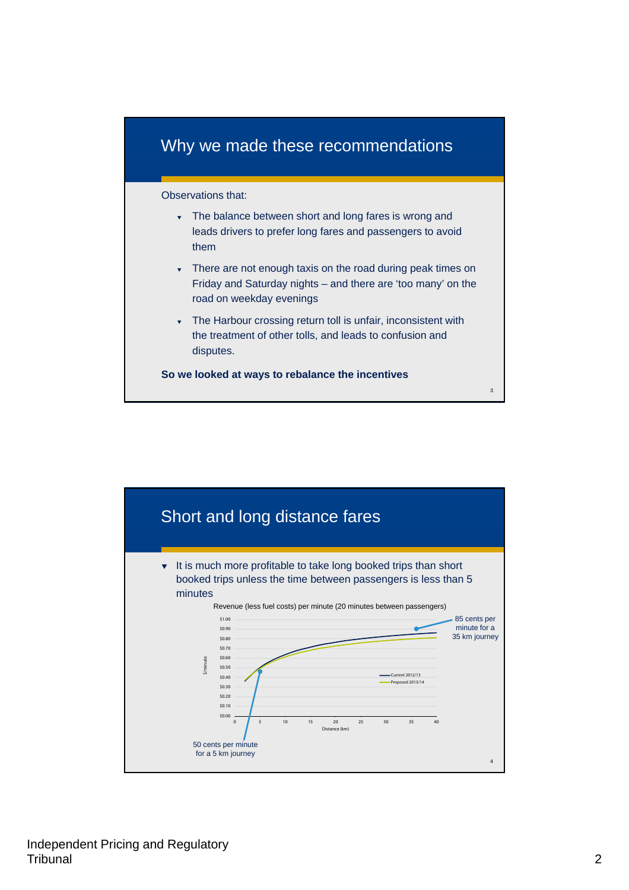# Why we made these recommendations

#### Observations that:

- The balance between short and long fares is wrong and leads drivers to prefer long fares and passengers to avoid them
- There are not enough taxis on the road during peak times on Friday and Saturday nights – and there are 'too many' on the road on weekday evenings
- The Harbour crossing return toll is unfair, inconsistent with the treatment of other tolls, and leads to confusion and disputes.

 $\overline{a}$ 

**So we looked at ways to rebalance the incentives**

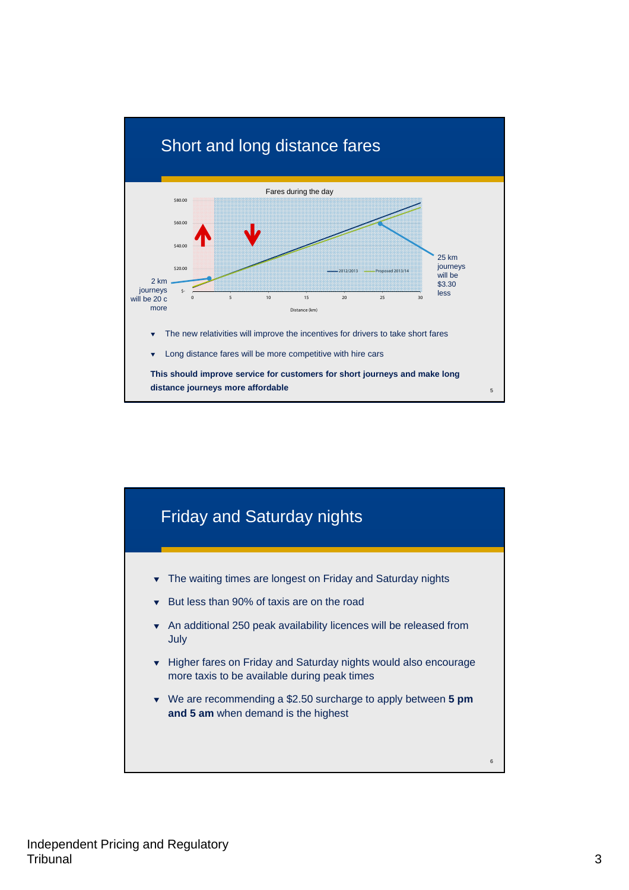

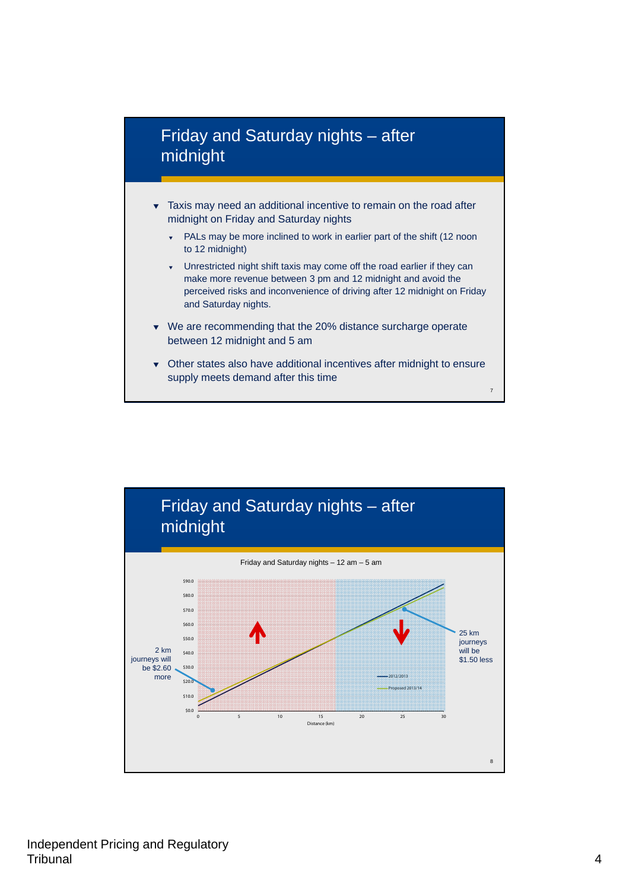

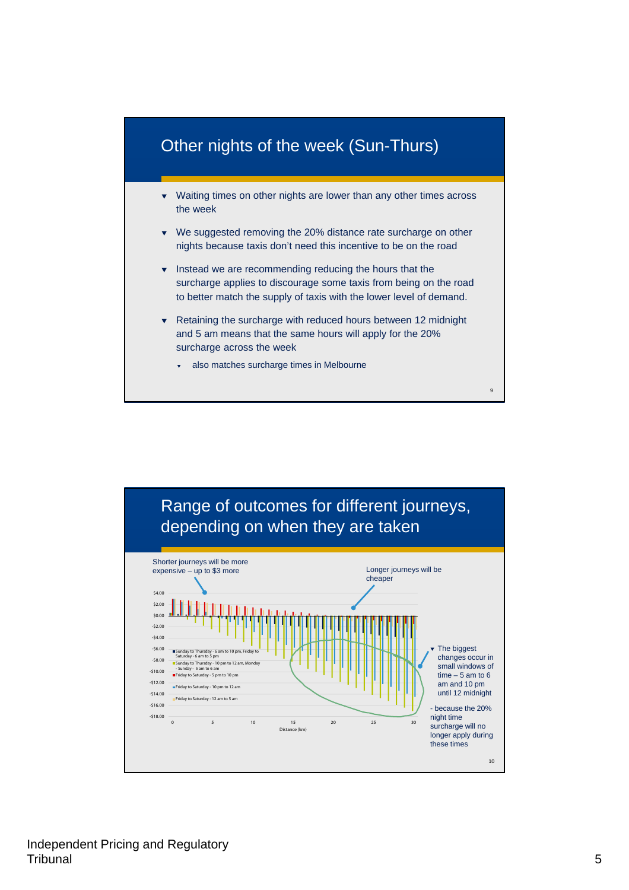